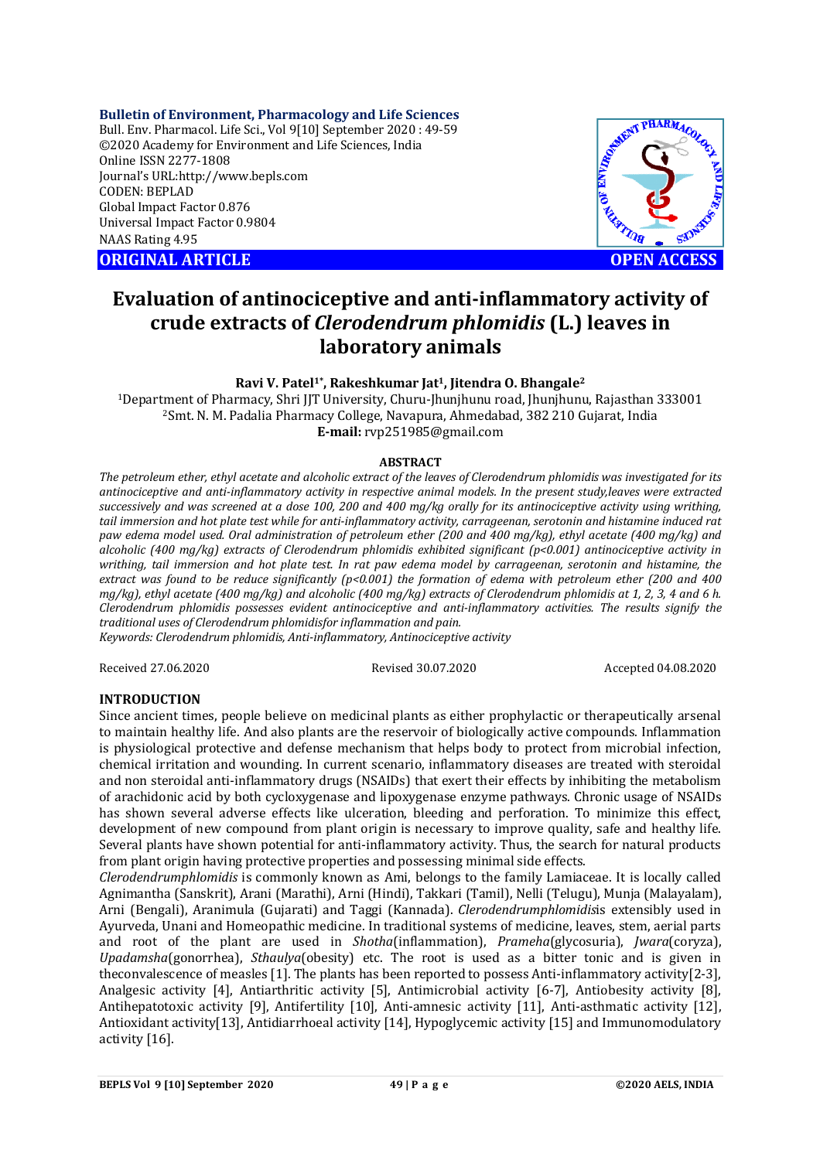**Bulletin of Environment, Pharmacology and Life Sciences**

Bull. Env. Pharmacol. Life Sci., Vol 9[10] September 2020 : 49-59 ©2020 Academy for Environment and Life Sciences, India Online ISSN 2277-1808 Journal's URL:<http://www.bepls.com> CODEN: BEPLAD Global Impact Factor 0.876 Universal Impact Factor 0.9804 NAAS Rating 4.95

**ORIGINAL ARTICLE** And the contract of the contract of the contract of the contract of the contract of the contract of the contract of the contract of the contract of the contract of the contract of the contract of the con



# **Evaluation of antinociceptive and anti-inflammatory activity of crude extracts of** *Clerodendrum phlomidis* **(L.) leaves in laboratory animals**

### **Ravi V. Patel1\*, Rakeshkumar Jat1, Jitendra O. Bhangale<sup>2</sup>**

<sup>1</sup>Department of Pharmacy, Shri JJT University, Churu-Jhunjhunu road, Jhunjhunu, Rajasthan 333001 <sup>2</sup>Smt. N. M. Padalia Pharmacy College, Navapura, Ahmedabad, 382 210 Gujarat, India **E-mail:** [rvp251985@gmail.com](mailto:rvp251985@gmail.com)

#### **ABSTRACT**

*The petroleum ether, ethyl acetate and alcoholic extract of the leaves of Clerodendrum phlomidis was investigated for its antinociceptive and anti-inflammatory activity in respective animal models. In the present study,leaves were extracted successively and was screened at a dose 100, 200 and 400 mg/kg orally for its antinociceptive activity using writhing, tail immersion and hot plate test while for anti-inflammatory activity, carrageenan, serotonin and histamine induced rat paw edema model used. Oral administration of petroleum ether (200 and 400 mg/kg), ethyl acetate (400 mg/kg) and alcoholic (400 mg/kg) extracts of Clerodendrum phlomidis exhibited significant (p<0.001) antinociceptive activity in writhing, tail immersion and hot plate test. In rat paw edema model by carrageenan, serotonin and histamine, the extract was found to be reduce significantly (p<0.001) the formation of edema with petroleum ether (200 and 400 mg/kg), ethyl acetate (400 mg/kg) and alcoholic (400 mg/kg) extracts of Clerodendrum phlomidis at 1, 2, 3, 4 and 6 h. Clerodendrum phlomidis possesses evident antinociceptive and anti-inflammatory activities. The results signify the traditional uses of Clerodendrum phlomidisfor inflammation and pain.*

*Keywords: Clerodendrum phlomidis, Anti-inflammatory, Antinociceptive activity*

Received 27.06.2020 Revised 30.07.2020 Accepted 04.08.2020

#### **INTRODUCTION**

Since ancient times, people believe on medicinal plants as either prophylactic or therapeutically arsenal to maintain healthy life. And also plants are the reservoir of biologically active compounds. Inflammation is physiological protective and defense mechanism that helps body to protect from microbial infection, chemical irritation and wounding. In current scenario, inflammatory diseases are treated with steroidal and non steroidal anti-inflammatory drugs (NSAIDs) that exert their effects by inhibiting the metabolism of arachidonic acid by both cycloxygenase and lipoxygenase enzyme pathways. Chronic usage of NSAIDs has shown several adverse effects like ulceration, bleeding and perforation. To minimize this effect, development of new compound from plant origin is necessary to improve quality, safe and healthy life. Several plants have shown potential for anti-inflammatory activity. Thus, the search for natural products from plant origin having protective properties and possessing minimal side effects.

*Clerodendrumphlomidis* is commonly known as Ami, belongs to the family Lamiaceae. It is locally called Agnimantha (Sanskrit), Arani (Marathi), Arni (Hindi), Takkari (Tamil), Nelli (Telugu), Munja (Malayalam), Arni (Bengali), Aranimula (Gujarati) and Taggi (Kannada). *Clerodendrumphlomidis*is extensibly used in Ayurveda, Unani and Homeopathic medicine. In traditional systems of medicine, leaves, stem, aerial parts and root of the plant are used in *Shotha*(inflammation), *Prameha*(glycosuria), *Jwara*(coryza), *Upadamsha*(gonorrhea), *Sthaulya*(obesity) etc. The root is used as a bitter tonic and is given in theconvalescence of measles [1]. The plants has been reported to possess Anti-inflammatory activity[2-3], Analgesic activity [4], Antiarthritic activity [5], Antimicrobial activity [6-7], Antiobesity activity [8], Antihepatotoxic activity [9], Antifertility [10], Anti-amnesic activity [11], Anti-asthmatic activity [12], Antioxidant activity[13], Antidiarrhoeal activity [14], Hypoglycemic activity [15] and Immunomodulatory activity [16].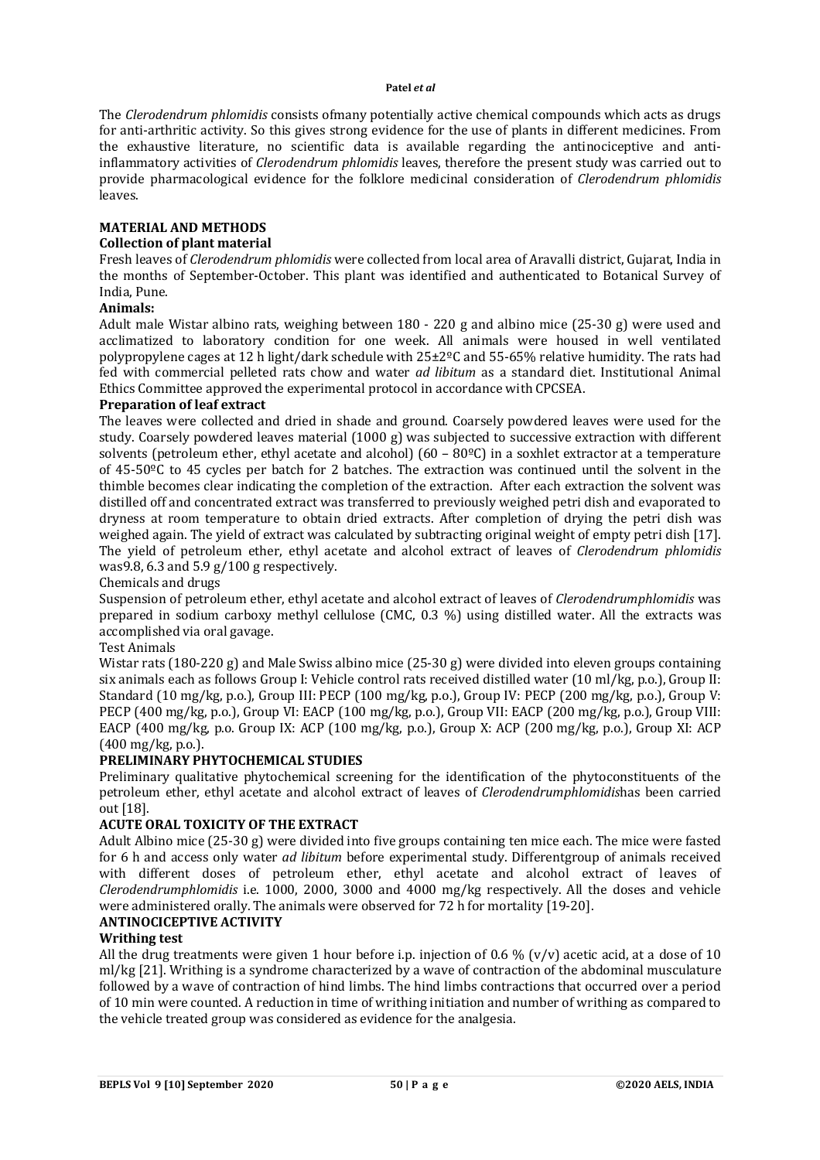The *Clerodendrum phlomidis* consists ofmany potentially active chemical compounds which acts as drugs for anti-arthritic activity. So this gives strong evidence for the use of plants in different medicines. From the exhaustive literature, no scientific data is available regarding the antinociceptive and antiinflammatory activities of *Clerodendrum phlomidis* leaves, therefore the present study was carried out to provide pharmacological evidence for the folklore medicinal consideration of *Clerodendrum phlomidis* leaves.

### **MATERIAL AND METHODS**

#### **Collection of plant material**

Fresh leaves of *Clerodendrum phlomidis* were collected from local area of Aravalli district, Gujarat, India in the months of September-October. This plant was identified and authenticated to Botanical Survey of India, Pune.

#### **Animals:**

Adult male Wistar albino rats, weighing between 180 - 220 g and albino mice (25-30 g) were used and acclimatized to laboratory condition for one week. All animals were housed in well ventilated polypropylene cages at 12 h light/dark schedule with 25±2ºC and 55-65% relative humidity. The rats had fed with commercial pelleted rats chow and water *ad libitum* as a standard diet. Institutional Animal Ethics Committee approved the experimental protocol in accordance with CPCSEA.

### **Preparation of leaf extract**

The leaves were collected and dried in shade and ground. Coarsely powdered leaves were used for the study. Coarsely powdered leaves material (1000 g) was subjected to successive extraction with different solvents (petroleum ether, ethyl acetate and alcohol) (60 – 80ºC) in a soxhlet extractor at a temperature of 45-50ºC to 45 cycles per batch for 2 batches. The extraction was continued until the solvent in the thimble becomes clear indicating the completion of the extraction. After each extraction the solvent was distilled off and concentrated extract was transferred to previously weighed petri dish and evaporated to dryness at room temperature to obtain dried extracts. After completion of drying the petri dish was weighed again. The yield of extract was calculated by subtracting original weight of empty petri dish [17]. The yield of petroleum ether, ethyl acetate and alcohol extract of leaves of *Clerodendrum phlomidis* was9.8, 6.3 and 5.9 g/100 g respectively.

Chemicals and drugs

Suspension of petroleum ether, ethyl acetate and alcohol extract of leaves of *Clerodendrumphlomidis* was prepared in sodium carboxy methyl cellulose (CMC, 0.3 %) using distilled water. All the extracts was accomplished via oral gavage.

Test Animals

Wistar rats (180-220 g) and Male Swiss albino mice (25-30 g) were divided into eleven groups containing six animals each as follows Group I: Vehicle control rats received distilled water (10 ml/kg, p.o.), Group II: Standard (10 mg/kg, p.o.), Group III: PECP (100 mg/kg, p.o.), Group IV: PECP (200 mg/kg, p.o.), Group V: PECP (400 mg/kg, p.o.), Group VI: EACP (100 mg/kg, p.o.), Group VII: EACP (200 mg/kg, p.o.), Group VIII: EACP (400 mg/kg, p.o. Group IX: ACP (100 mg/kg, p.o.), Group X: ACP (200 mg/kg, p.o.), Group XI: ACP (400 mg/kg, p.o.).

### **PRELIMINARY PHYTOCHEMICAL STUDIES**

Preliminary qualitative phytochemical screening for the identification of the phytoconstituents of the petroleum ether, ethyl acetate and alcohol extract of leaves of *Clerodendrumphlomidis*has been carried out [18].

### **ACUTE ORAL TOXICITY OF THE EXTRACT**

Adult Albino mice (25-30 g) were divided into five groups containing ten mice each. The mice were fasted for 6 h and access only water *ad libitum* before experimental study. Differentgroup of animals received with different doses of petroleum ether, ethyl acetate and alcohol extract of leaves of *Clerodendrumphlomidis* i.e. 1000, 2000, 3000 and 4000 mg/kg respectively. All the doses and vehicle were administered orally. The animals were observed for 72 h for mortality [19-20].

### **ANTINOCICEPTIVE ACTIVITY**

## **Writhing test**

All the drug treatments were given 1 hour before i.p. injection of 0.6 % (v/y) acetic acid, at a dose of 10 ml/kg [21]. Writhing is a syndrome characterized by a wave of contraction of the abdominal musculature followed by a wave of contraction of hind limbs. The hind limbs contractions that occurred over a period of 10 min were counted. A reduction in time of writhing initiation and number of writhing as compared to the vehicle treated group was considered as evidence for the analgesia.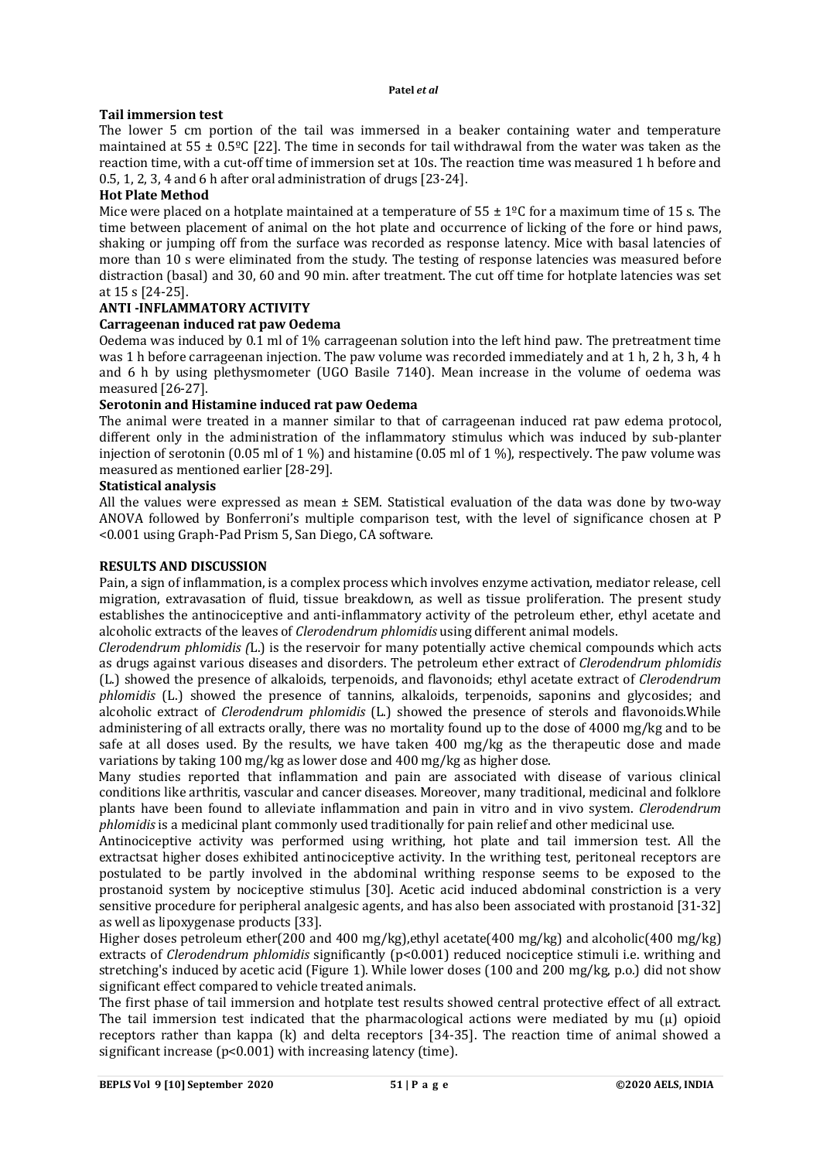### **Tail immersion test**

The lower 5 cm portion of the tail was immersed in a beaker containing water and temperature maintained at 55 ± 0*.*5ºC [22]. The time in seconds for tail withdrawal from the water was taken as the reaction time, with a cut-off time of immersion set at 10s. The reaction time was measured 1 h before and 0.5, 1, 2, 3, 4 and 6 h after oral administration of drugs [23-24].

### **Hot Plate Method**

Mice were placed on a hotplate maintained at a temperature of  $55 \pm 1^{\circ}$ C for a maximum time of 15 s. The time between placement of animal on the hot plate and occurrence of licking of the fore or hind paws, shaking or jumping off from the surface was recorded as response latency. Mice with basal latencies of more than 10 s were eliminated from the study. The testing of response latencies was measured before distraction (basal) and 30, 60 and 90 min. after treatment. The cut off time for hotplate latencies was set at 15 s [24-25].

## **ANTI -INFLAMMATORY ACTIVITY**

### **Carrageenan induced rat paw Oedema**

Oedema was induced by 0.1 ml of 1% carrageenan solution into the left hind paw. The pretreatment time was 1 h before carrageenan injection. The paw volume was recorded immediately and at 1 h, 2 h, 3 h, 4 h and 6 h by using plethysmometer (UGO Basile 7140). Mean increase in the volume of oedema was measured [26-27].

### **Serotonin and Histamine induced rat paw Oedema**

The animal were treated in a manner similar to that of carrageenan induced rat paw edema protocol, different only in the administration of the inflammatory stimulus which was induced by sub-planter injection of serotonin (0.05 ml of 1 %) and histamine (0.05 ml of 1 %), respectively. The paw volume was measured as mentioned earlier [28-29].

### **Statistical analysis**

All the values were expressed as mean ± SEM. Statistical evaluation of the data was done by two-way ANOVA followed by Bonferroni's multiple comparison test, with the level of significance chosen at P <0.001 using Graph-Pad Prism 5, San Diego, CA software.

### **RESULTS AND DISCUSSION**

Pain, a sign of inflammation, is a complex process which involves enzyme activation, mediator release, cell migration, extravasation of fluid, tissue breakdown, as well as tissue proliferation. The present study establishes the antinociceptive and anti-inflammatory activity of the petroleum ether, ethyl acetate and alcoholic extracts of the leaves of *Clerodendrum phlomidis* using different animal models.

*Clerodendrum phlomidis (*L.) is the reservoir for many potentially active chemical compounds which acts as drugs against various diseases and disorders. The petroleum ether extract of *Clerodendrum phlomidis* (L.) showed the presence of alkaloids, terpenoids, and flavonoids; ethyl acetate extract of *Clerodendrum phlomidis* (L.) showed the presence of tannins, alkaloids, terpenoids, saponins and glycosides; and alcoholic extract of *Clerodendrum phlomidis* (L.) showed the presence of sterols and flavonoids.While administering of all extracts orally, there was no mortality found up to the dose of 4000 mg/kg and to be safe at all doses used. By the results, we have taken 400 mg/kg as the therapeutic dose and made variations by taking 100 mg/kg as lower dose and 400 mg/kg as higher dose.

Many studies reported that inflammation and pain are associated with disease of various clinical conditions like arthritis, vascular and cancer diseases. Moreover, many traditional, medicinal and folklore plants have been found to alleviate inflammation and pain in vitro and in vivo system. *Clerodendrum phlomidis* is a medicinal plant commonly used traditionally for pain relief and other medicinal use.

Antinociceptive activity was performed using writhing, hot plate and tail immersion test. All the extractsat higher doses exhibited antinociceptive activity. In the writhing test, peritoneal receptors are postulated to be partly involved in the abdominal writhing response seems to be exposed to the prostanoid system by nociceptive stimulus [30]. Acetic acid induced abdominal constriction is a very sensitive procedure for peripheral analgesic agents, and has also been associated with prostanoid [31-32] as well as lipoxygenase products [33].

Higher doses petroleum ether(200 and 400 mg/kg),ethyl acetate(400 mg/kg) and alcoholic(400 mg/kg) extracts of *Clerodendrum phlomidis* significantly (p<0.001) reduced nociceptice stimuli i.e. writhing and stretching's induced by acetic acid (Figure 1). While lower doses (100 and 200 mg/kg, p.o.) did not show significant effect compared to vehicle treated animals.

The first phase of tail immersion and hotplate test results showed central protective effect of all extract. The tail immersion test indicated that the pharmacological actions were mediated by mu (µ) opioid receptors rather than kappa (k) and delta receptors [34-35]. The reaction time of animal showed a significant increase (p<0.001) with increasing latency (time).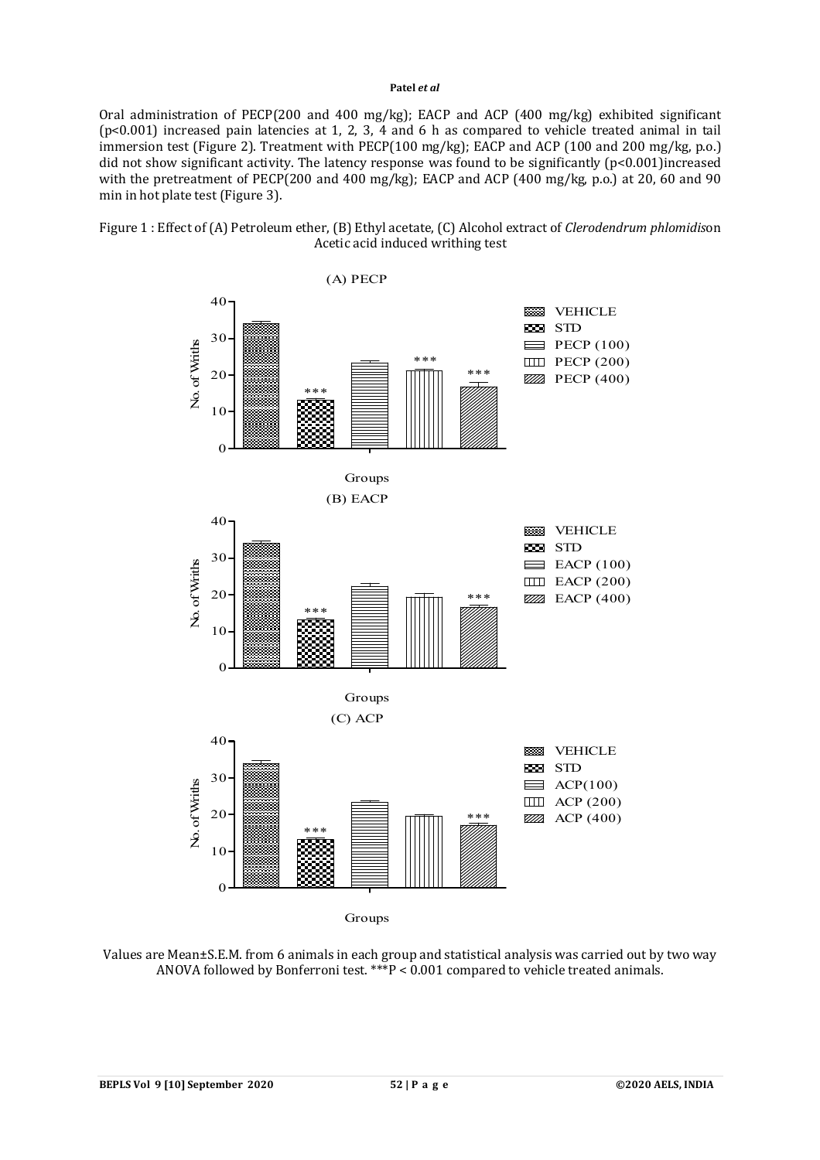Oral administration of PECP(200 and 400 mg/kg); EACP and ACP (400 mg/kg) exhibited significant (p<0.001) increased pain latencies at 1, 2, 3, 4 and 6 h as compared to vehicle treated animal in tail immersion test (Figure 2). Treatment with PECP(100 mg/kg); EACP and ACP (100 and 200 mg/kg, p.o.) did not show significant activity. The latency response was found to be significantly (p<0.001)increased with the pretreatment of PECP(200 and 400 mg/kg); EACP and ACP (400 mg/kg, p.o.) at 20, 60 and 90 min in hot plate test (Figure 3).



Figure 1 : Effect of (A) Petroleum ether, (B) Ethyl acetate, (C) Alcohol extract of *Clerodendrum phlomidis*on Acetic acid induced writhing test

Groups

Values are Mean±S.E.M. from 6 animals in each group and statistical analysis was carried out by two way ANOVA followed by Bonferroni test. \*\*\*P < 0.001 compared to vehicle treated animals.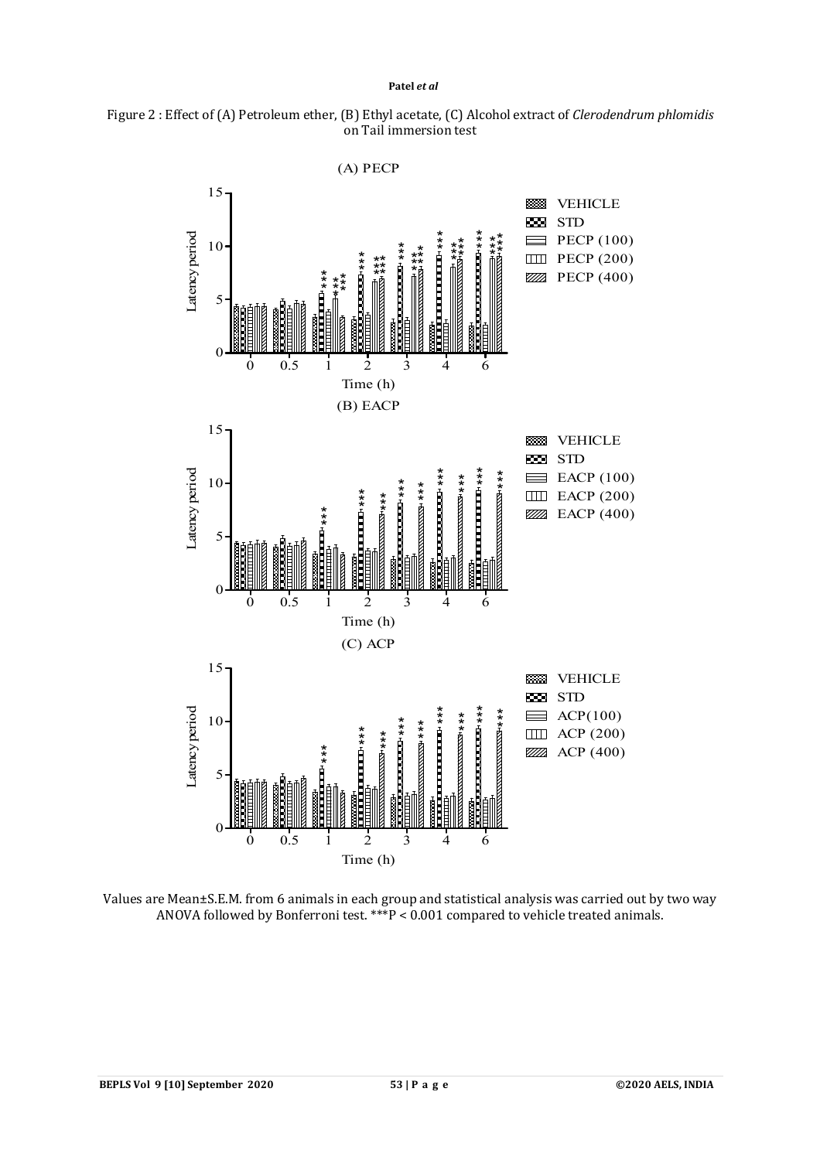



Values are Mean±S.E.M. from 6 animals in each group and statistical analysis was carried out by two way ANOVA followed by Bonferroni test.  $***P < 0.001$  compared to vehicle treated animals.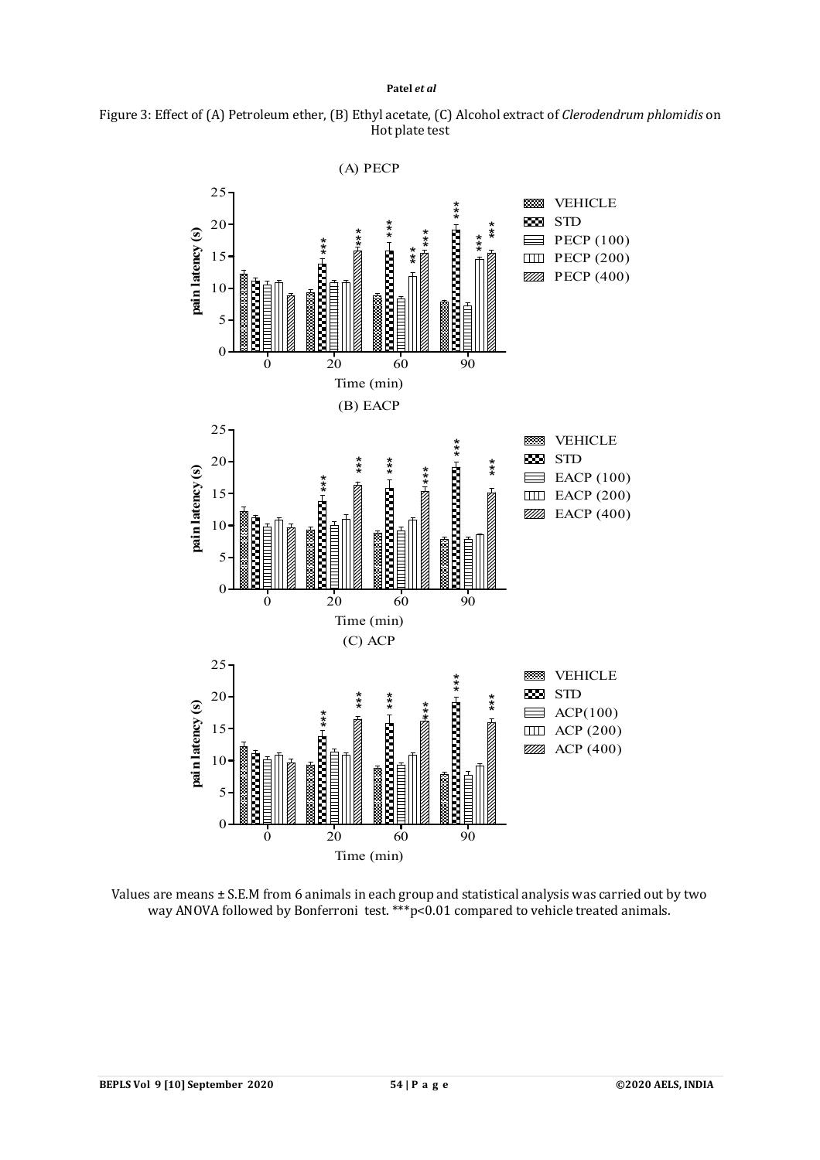



Values are means ± S.E.M from 6 animals in each group and statistical analysis was carried out by two way ANOVA followed by Bonferroni test. \*\*\* p<0.01 compared to vehicle treated animals.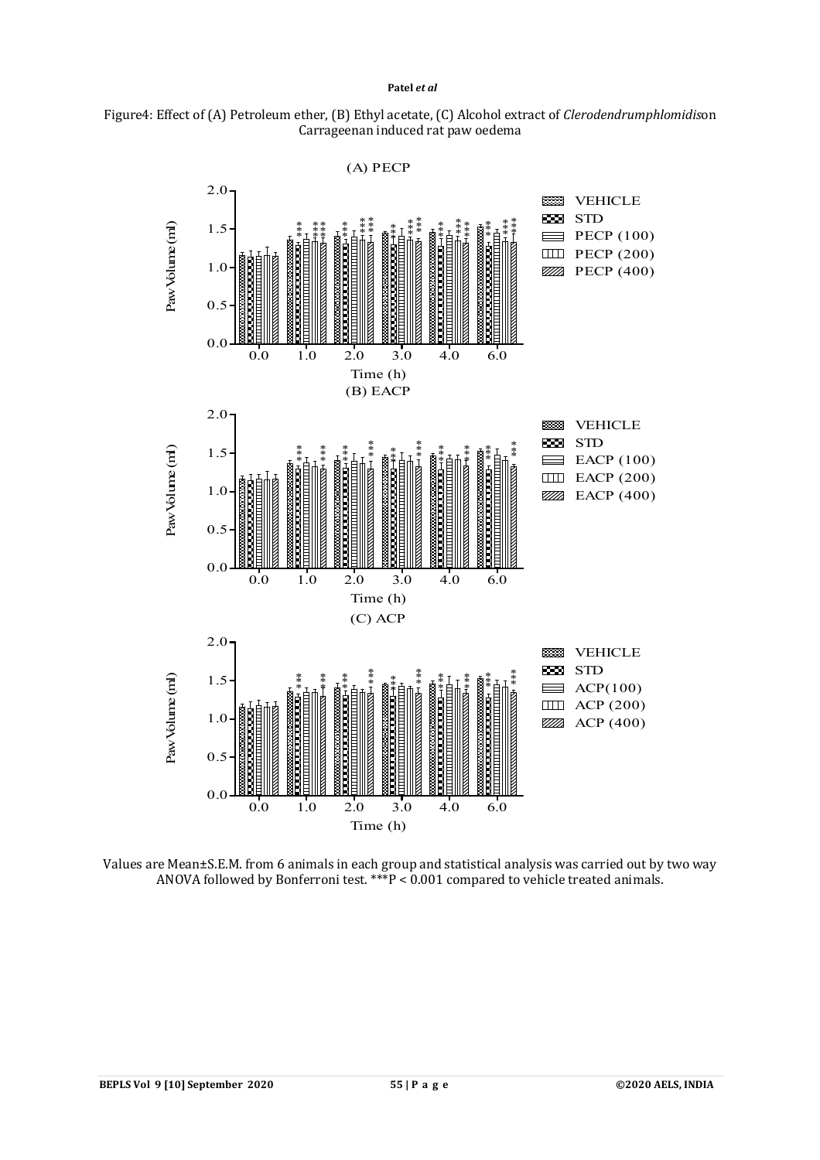



Values are Mean±S.E.M. from 6 animals in each group and statistical analysis was carried out by two way ANOVA followed by Bonferroni test.  $***P < 0.001$  compared to vehicle treated animals.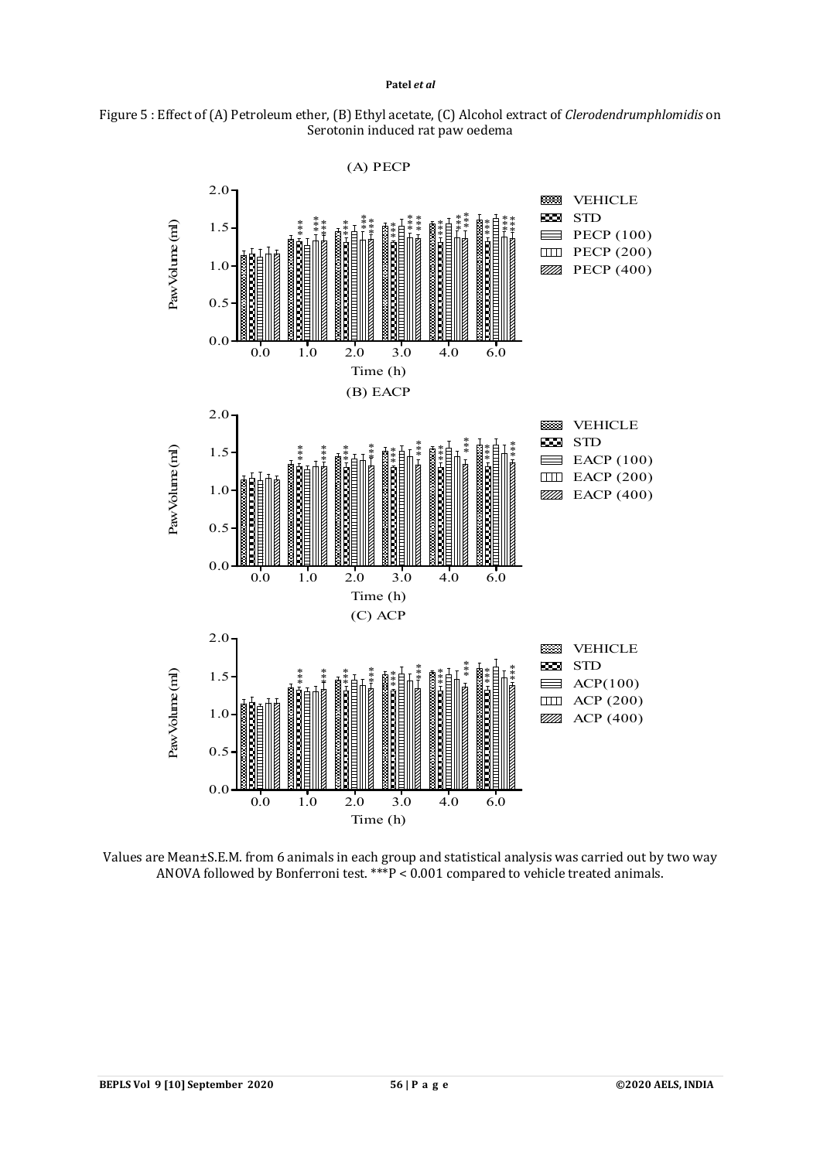



Values are Mean±S.E.M. from 6 animals in each group and statistical analysis was carried out by two way ANOVA followed by Bonferroni test. \*\*\* $P < 0.001$  compared to vehicle treated animals.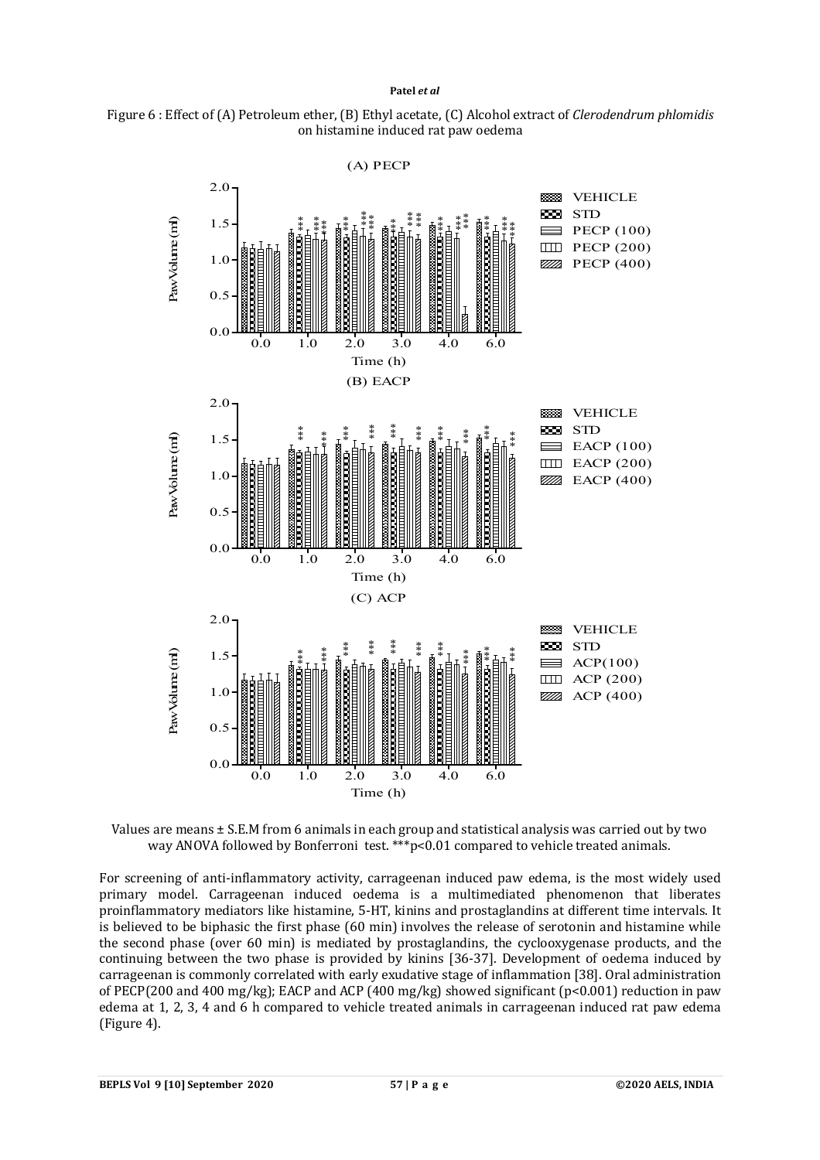



Values are means ± S.E.M from 6 animals in each group and statistical analysis was carried out by two way ANOVA followed by Bonferroni test. \*\*\* p<0.01 compared to vehicle treated animals.

For screening of anti-inflammatory activity, carrageenan induced paw edema, is the most widely used primary model. Carrageenan induced oedema is a multimediated phenomenon that liberates proinflammatory mediators like histamine, 5-HT, kinins and prostaglandins at different time intervals. It is believed to be biphasic the first phase (60 min) involves the release of serotonin and histamine while the second phase (over 60 min) is mediated by prostaglandins, the cyclooxygenase products, and the continuing between the two phase is provided by kinins [36-37]. Development of oedema induced by carrageenan is commonly correlated with early exudative stage of inflammation [38]. Oral administration of PECP(200 and 400 mg/kg); EACP and ACP (400 mg/kg) showed significant (p<0.001) reduction in paw edema at 1, 2, 3, 4 and 6 h compared to vehicle treated animals in carrageenan induced rat paw edema (Figure 4).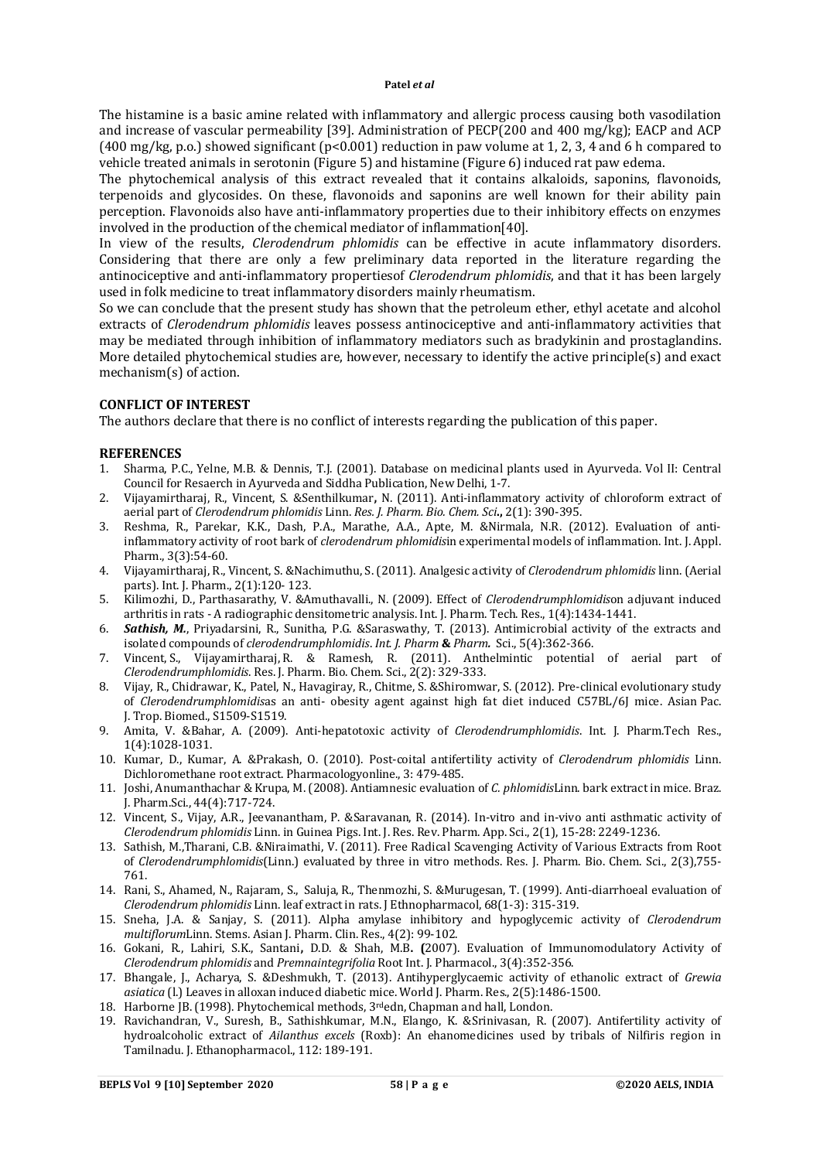The histamine is a basic amine related with inflammatory and allergic process causing both vasodilation and increase of vascular permeability [39]. Administration of PECP(200 and 400 mg/kg); EACP and ACP (400 mg/kg, p.o.) showed significant (p<0.001) reduction in paw volume at 1, 2, 3, 4 and 6 h compared to vehicle treated animals in serotonin (Figure 5) and histamine (Figure 6) induced rat paw edema.

The phytochemical analysis of this extract revealed that it contains alkaloids, saponins, flavonoids, terpenoids and glycosides. On these, flavonoids and saponins are well known for their ability pain perception. Flavonoids also have anti-inflammatory properties due to their inhibitory effects on enzymes involved in the production of the chemical mediator of inflammation[40].

In view of the results, *Clerodendrum phlomidis* can be effective in acute inflammatory disorders. Considering that there are only a few preliminary data reported in the literature regarding the antinociceptive and anti-inflammatory propertiesof *Clerodendrum phlomidis*, and that it has been largely used in folk medicine to treat inflammatory disorders mainly rheumatism.

So we can conclude that the present study has shown that the petroleum ether, ethyl acetate and alcohol extracts of *Clerodendrum phlomidis* leaves possess antinociceptive and anti-inflammatory activities that may be mediated through inhibition of inflammatory mediators such as bradykinin and prostaglandins. More detailed phytochemical studies are, however, necessary to identify the active principle(s) and exact mechanism(s) of action.

### **CONFLICT OF INTEREST**

The authors declare that there is no conflict of interests regarding the publication of this paper.

### **REFERENCES**

- 1. Sharma, P.C., Yelne, M.B. & Dennis, T.J. (2001). Database on medicinal plants used in Ayurveda. Vol II: Central Council for Resaerch in Ayurveda and Siddha Publication, New Delhi, 1-7.
- 2. Vijayamirtharaj, R., Vincent, S. &Senthilkumar**,** N. (2011). Anti-inflammatory activity of chloroform extract of aerial part of *Clerodendrum phlomidis* Linn. *Res. J. Pharm. Bio. Chem. Sci***.,** 2(1): 390-395.
- 3. Reshma, R., Parekar, K.K., Dash, P.A., Marathe, A.A., Apte, M. &Nirmala, N.R. (2012). Evaluation of antiinflammatory activity of root bark of *clerodendrum phlomidis*in experimental models of inflammation. Int. J. Appl. Pharm., 3(3):54-60.
- 4. Vijayamirtharaj, R., Vincent, S. &Nachimuthu, S. (2011). Analgesic activity of *Clerodendrum phlomidis* linn. (Aerial parts). Int. J. Pharm., 2(1):120- 123.
- 5. Kilimozhi, D., Parthasarathy, V. &Amuthavalli., N. (2009). Effect of *Clerodendrumphlomidis*on adjuvant induced arthritis in rats - A radiographic densitometric analysis. Int. J. Pharm. Tech. Res., 1(4):1434-1441.
- 6. *Sathish, M.*, Priyadarsini, R., Sunitha, P.G. &Saraswathy, T. (2013). Antimicrobial activity of the extracts and isolated compounds of *clerodendrumphlomidis*. *Int. J. Pharm* **&** *Pharm.* Sci., 5(4):362-366.
- 7. Vincent, S., Vijayamirtharaj, R. & Ramesh, R. (2011). Anthelmintic potential of aerial part of *Clerodendrumphlomidis*. Res. J. Pharm. Bio. Chem. Sci., 2(2): 329-333.
- 8. Vijay, R., Chidrawar, K., Patel, N., Havagiray, R., Chitme, S. &Shiromwar, S. (2012). Pre-clinical evolutionary study of *Clerodendrumphlomidis*as an anti- obesity agent against high fat diet induced C57BL/6J mice. Asian Pac. J. Trop. Biomed., S1509-S1519.
- 9. Amita, V. &Bahar, A. (2009). Anti-hepatotoxic activity of *Clerodendrumphlomidis*. Int. J. Pharm.Tech Res., 1(4):1028-1031.
- 10. Kumar, D., Kumar, A. &Prakash, O. (2010). Post-coital antifertility activity of *Clerodendrum phlomidis* Linn. Dichloromethane root extract. Pharmacologyonline., 3: 479-485.
- 11. Joshi, Anumanthachar & Krupa, M. (2008). Antiamnesic evaluation of *C. phlomidis*Linn. bark extract in mice. Braz. J. Pharm.Sci., 44(4):717-724.
- 12. Vincent, S., Vijay, A.R., Jeevanantham, P. &Saravanan, R. (2014). In-vitro and in-vivo anti asthmatic activity of *Clerodendrum phlomidis* Linn. in Guinea Pigs. Int. J. Res. Rev. Pharm. App. Sci., 2(1), 15-28: 2249-1236.
- 13. Sathish, M.,Tharani, C.B. &Niraimathi, V. (2011). Free Radical Scavenging Activity of Various Extracts from Root of *Clerodendrumphlomidis*(Linn.) evaluated by three in vitro methods. Res. J. Pharm. Bio. Chem. Sci., 2(3),755- 761.
- 14. Rani, S., Ahamed, N., Rajaram, S., Saluja, R., Thenmozhi, S. &Murugesan, T. (1999). Anti-diarrhoeal evaluation of *Clerodendrum phlomidis* Linn. leaf extract in rats. J Ethnopharmacol, 68(1-3): 315-319.
- 15. Sneha, J.A. & Sanjay, S. (2011). Alpha amylase inhibitory and hypoglycemic activity of *Clerodendrum multiflorum*Linn. Stems. Asian J. Pharm. Clin. Res., 4(2): 99-102.
- 16. Gokani, R., Lahiri, S.K., Santani**,** D.D. & Shah, M.B**. (**2007). Evaluation of Immunomodulatory Activity of *Clerodendrum phlomidis* and *Premnaintegrifolia* Root Int. J. Pharmacol., 3(4):352-356.
- 17. Bhangale, J., Acharya, S. &Deshmukh, T. (2013). Antihyperglycaemic activity of ethanolic extract of *Grewia asiatica* (l.) Leaves in alloxan induced diabetic mice. World J. Pharm. Res., 2(5):1486-1500.
- 18. Harborne JB. (1998). Phytochemical methods, 3rdedn, Chapman and hall, London.
- 19. Ravichandran, V., Suresh, B., Sathishkumar, M.N., Elango, K. &Srinivasan, R. (2007). Antifertility activity of hydroalcoholic extract of *Ailanthus excels* (Roxb): An ehanomedicines used by tribals of Nilfiris region in Tamilnadu. J. Ethanopharmacol., 112: 189-191.